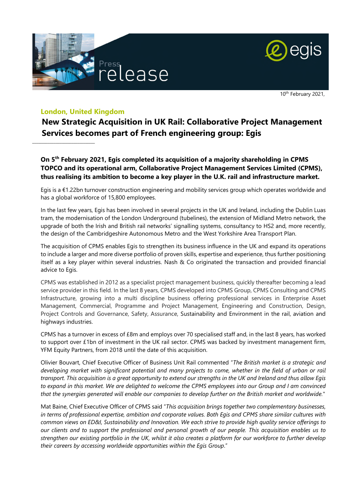



10th February 2021,

## **London, United Kingdom**

 $\_$ 

**New Strategic Acquisition in UK Rail: Collaborative Project Management Services becomes part of French engineering group: Egis** 

**On 5th February 2021, Egis completed its acquisition of a majority shareholding in CPMS TOPCO and its operational arm, Collaborative Project Management Services Limited (CPMS), thus realising its ambition to become a key player in the U.K. rail and infrastructure market.** 

Egis is a €1.22bn turnover construction engineering and mobility services group which operates worldwide and has a global workforce of 15,800 employees.

In the last few years, Egis has been involved in several projects in the UK and Ireland, including the Dublin Luas tram, the modernisation of the London Underground (tubelines), the extension of Midland Metro network, the upgrade of both the Irish and British rail networks' signalling systems, consultancy to HS2 and, more recently, the design of the Cambridgeshire Autonomous Metro and the West Yorkshire Area Transport Plan.

The acquisition of CPMS enables Egis to strengthen its business influence in the UK and expand its operations to include a larger and more diverse portfolio of proven skills, expertise and experience, thus further positioning itself as a key player within several industries. Nash & Co originated the transaction and provided financial advice to Egis.

CPMS was established in 2012 as a specialist project management business, quickly thereafter becoming a lead service provider in this field. In the last 8 years, CPMS developed into CPMS Group, CPMS Consulting and CPMS Infrastructure, growing into a multi discipline business offering professional services in Enterprise Asset Management, Commercial, Programme and Project Management, Engineering and Construction, Design, Project Controls and Governance, Safety, Assurance, Sustainability and Environment in the rail, aviation and highways industries.

CPMS has a turnover in excess of £8m and employs over 70 specialised staff and, in the last 8 years, has worked to support over £1bn of investment in the UK rail sector. CPMS was backed by investment management firm, YFM Equity Partners, from 2018 until the date of this acquisition.

Olivier Bouvart, Chief Executive Officer of Business Unit Rail commented "*The British market is a strategic and developing market with significant potential and many projects to come, whether in the field of urban or rail transport. This acquisition is a great opportunity to extend our strengths in the UK and Ireland and thus allow Egis to expand in this market. We are delighted to welcome the CPMS employees into our Group and I am convinced that the synergies generated will enable our companies to develop further on the British market and worldwide.*"

Mat Baine, Chief Executive Officer of CPMS said "*This acquisition brings together two complementary businesses, in terms of professional expertise, ambition and corporate values. Both Egis and CPMS share similar cultures with common views on ED&I, Sustainability and Innovation. We each strive to provide high quality service offerings to our clients and to support the professional and personal growth of our people. This acquisition enables us to strengthen our existing portfolio in the UK, whilst it also creates a platform for our workforce to further develop their careers by accessing worldwide opportunities within the Egis Group*."